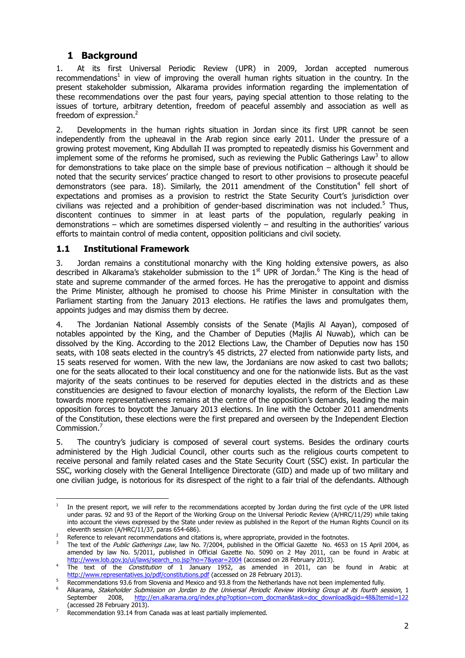# **1 Background**

1. At its first Universal Periodic Review (UPR) in 2009, Jordan accepted numerous recommendations<sup>1</sup> in view of improving the overall human rights situation in the country. In the present stakeholder submission, Alkarama provides information regarding the implementation of these recommendations over the past four years, paying special attention to those relating to the issues of torture, arbitrary detention, freedom of peaceful assembly and association as well as freedom of expression.<sup>2</sup>

2. Developments in the human rights situation in Jordan since its first UPR cannot be seen independently from the upheaval in the Arab region since early 2011. Under the pressure of a growing protest movement, King Abdullah II was prompted to repeatedly dismiss his Government and implement some of the reforms he promised, such as reviewing the Public Gatherings Law<sup>3</sup> to allow for demonstrations to take place on the simple base of previous notification – although it should be noted that the security services' practice changed to resort to other provisions to prosecute peaceful demonstrators (see para. [18\)](#page-3-0). Similarly, the 2011 amendment of the Constitution<sup>4</sup> fell short of expectations and promises as a provision to restrict the State Security Court's jurisdiction over civilians was rejected and a prohibition of gender-based discrimination was not included.<sup>5</sup> Thus, discontent continues to simmer in at least parts of the population, regularly peaking in demonstrations – which are sometimes dispersed violently – and resulting in the authorities' various efforts to maintain control of media content, opposition politicians and civil society.

### **1.1 Institutional Framework**

3. Jordan remains a constitutional monarchy with the King holding extensive powers, as also described in Alkarama's stakeholder submission to the  $1<sup>st</sup>$  UPR of Jordan.<sup>6</sup> The King is the head of state and supreme commander of the armed forces. He has the prerogative to appoint and dismiss the Prime Minister, although he promised to choose his Prime Minister in consultation with the Parliament starting from the January 2013 elections. He ratifies the laws and promulgates them, appoints judges and may dismiss them by decree.

4. The Jordanian National Assembly consists of the Senate (Majlis Al Aayan), composed of notables appointed by the King, and the Chamber of Deputies (Majlis Al Nuwab), which can be dissolved by the King. According to the 2012 Elections Law, the Chamber of Deputies now has 150 seats, with 108 seats elected in the country's 45 districts, 27 elected from nationwide party lists, and 15 seats reserved for women. With the new law, the Jordanians are now asked to cast two ballots; one for the seats allocated to their local constituency and one for the nationwide lists. But as the vast majority of the seats continues to be reserved for deputies elected in the districts and as these constituencies are designed to favour election of monarchy loyalists, the reform of the Election Law towards more representativeness remains at the centre of the opposition's demands, leading the main opposition forces to boycott the January 2013 elections. In line with the October 2011 amendments of the Constitution, these elections were the first prepared and overseen by the Independent Election Commission.<sup>7</sup>

5. The country's judiciary is composed of several court systems. Besides the ordinary courts administered by the High Judicial Council, other courts such as the religious courts competent to receive personal and family related cases and the State Security Court (SSC) exist. In particular the SSC, working closely with the General Intelligence Directorate (GID) and made up of two military and one civilian judge, is notorious for its disrespect of the right to a fair trial of the defendants. Although

<sup>1</sup> 1 In the present report, we will refer to the recommendations accepted by Jordan during the first cycle of the UPR listed under paras. 92 and 93 of the Report of the Working Group on the Universal Periodic Review (A/HRC/11/29) while taking into account the views expressed by the State under review as published in the Report of the Human Rights Council on its eleventh session (A/HRC/11/37, paras 654-686).

Reference to relevant recommendations and citations is, where appropriate, provided in the footnotes.

The text of the Public Gatherings Law, law No. 7/2004, published in the Official Gazette No. 4653 on 15 April 2004, as amended by law No. 5/2011, published in Official Gazette No. 5090 on 2 May 2011, can be found in Arabic at [http://www.lob.gov.jo/ui/laws/search\\_no.jsp?no=7&year=2004](http://www.lob.gov.jo/ui/laws/search_no.jsp?no=7&year=2004) (accessed on 28 February 2013).

The text of the *Constitution* of 1 January 1952, as amended in 2011, can be found in Arabic at <http://www.representatives.jo/pdf/constitutions.pdf> (accessed on 28 February 2013).

Recommendations 93.6 from Slovenia and Mexico and 93.8 from the Netherlands have not been implemented fully.

Alkarama, *Stakeholder Submission on Jordan to the Universal Periodic Review Working Group at its fourth session*, 1<br>September 2008, http://en.alkarama.org/index.php?option=com docman&task=doc download&gid=48&Itemid=122 September 2008, [http://en.alkarama.org/index.php?option=com\\_docman&task=doc\\_download&gid=48&Itemid=122](http://en.alkarama.org/index.php?option=com_docman&task=doc_download&gid=48&Itemid=122) (accessed 28 February 2013).

<sup>&</sup>lt;sup>7</sup> Recommendation 93.14 from Canada was at least partially implemented.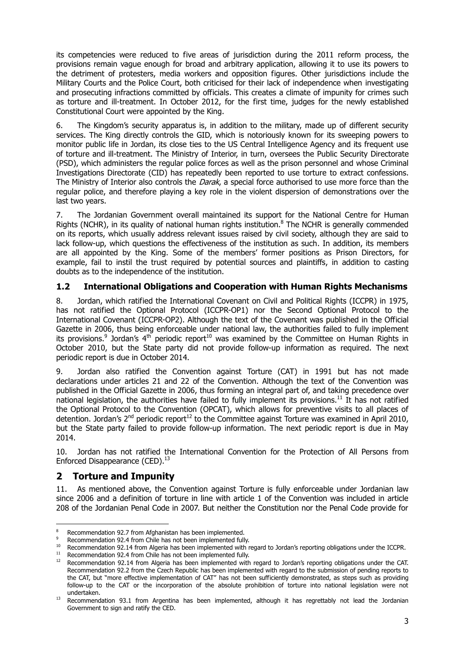its competencies were reduced to five areas of jurisdiction during the 2011 reform process, the provisions remain vague enough for broad and arbitrary application, allowing it to use its powers to the detriment of protesters, media workers and opposition figures. Other jurisdictions include the Military Courts and the Police Court, both criticised for their lack of independence when investigating and prosecuting infractions committed by officials. This creates a climate of impunity for crimes such as torture and ill-treatment. In October 2012, for the first time, judges for the newly established Constitutional Court were appointed by the King.

6. The Kingdom's security apparatus is, in addition to the military, made up of different security services. The King directly controls the GID, which is notoriously known for its sweeping powers to monitor public life in Jordan, its close ties to the US Central Intelligence Agency and its frequent use of torture and ill-treatment. The Ministry of Interior, in turn, oversees the Public Security Directorate (PSD), which administers the regular police forces as well as the prison personnel and whose Criminal Investigations Directorate (CID) has repeatedly been reported to use torture to extract confessions. The Ministry of Interior also controls the *Darak*, a special force authorised to use more force than the regular police, and therefore playing a key role in the violent dispersion of demonstrations over the last two years.

7. The Jordanian Government overall maintained its support for the National Centre for Human Rights (NCHR), in its quality of national human rights institution.<sup>8</sup> The NCHR is generally commended on its reports, which usually address relevant issues raised by civil society, although they are said to lack follow-up, which questions the effectiveness of the institution as such. In addition, its members are all appointed by the King. Some of the members' former positions as Prison Directors, for example, fail to instil the trust required by potential sources and plaintiffs, in addition to casting doubts as to the independence of the institution.

## **1.2 International Obligations and Cooperation with Human Rights Mechanisms**

8. Jordan, which ratified the International Covenant on Civil and Political Rights (ICCPR) in 1975, has not ratified the Optional Protocol (ICCPR-OP1) nor the Second Optional Protocol to the International Covenant (ICCPR-OP2). Although the text of the Covenant was published in the Official Gazette in 2006, thus being enforceable under national law, the authorities failed to fully implement its provisions.<sup>9</sup> Jordan's 4<sup>th</sup> periodic report<sup>10</sup> was examined by the Committee on Human Rights in October 2010, but the State party did not provide follow-up information as required. The next periodic report is due in October 2014.

9. Jordan also ratified the Convention against Torture (CAT) in 1991 but has not made declarations under articles 21 and 22 of the Convention. Although the text of the Convention was published in the Official Gazette in 2006, thus forming an integral part of, and taking precedence over national legislation, the authorities have failed to fully implement its provisions.<sup>11</sup> It has not ratified the Optional Protocol to the Convention (OPCAT), which allows for preventive visits to all places of detention. Jordan's  $2^{nd}$  periodic report<sup>12</sup> to the Committee against Torture was examined in April 2010, but the State party failed to provide follow-up information. The next periodic report is due in May 2014.

10. Jordan has not ratified the International Convention for the Protection of All Persons from Enforced Disappearance (CED).<sup>13</sup>

## **2 Torture and Impunity**

1

11. As mentioned above, the Convention against Torture is fully enforceable under Jordanian law since 2006 and a definition of torture in line with article 1 of the Convention was included in article 208 of the Jordanian Penal Code in 2007. But neither the Constitution nor the Penal Code provide for

<sup>8</sup> Recommendation 92.7 from Afghanistan has been implemented.

<sup>&</sup>lt;sup>9</sup> Recommendation 92.4 from Chile has not been implemented fully.<br> $^{10}$  Recommendation 02.14 from Algoria has been implemented with r

<sup>&</sup>lt;sup>10</sup> Recommendation 92.14 from Algeria has been implemented with regard to Jordan's reporting obligations under the ICCPR.<br><sup>11</sup> Becommendation 02.4 from Chile has not been implemented fully.

<sup>&</sup>lt;sup>11</sup> Recommendation 92.4 from Chile has not been implemented fully.<br><sup>12</sup> Recommendation 02.14 from Algoria has been implemented with

<sup>12</sup> Recommendation 92.14 from Algeria has been implemented with regard to Jordan's reporting obligations under the CAT. Recommendation 92.2 from the Czech Republic has been implemented with regard to the submission of pending reports to the CAT, but "more effective implementation of CAT" has not been sufficiently demonstrated, as steps such as providing follow-up to the CAT or the incorporation of the absolute prohibition of torture into national legislation were not undertaken.

<sup>&</sup>lt;sup>13</sup> Recommendation 93.1 from Argentina has been implemented, although it has regrettably not lead the Jordanian Government to sign and ratify the CED.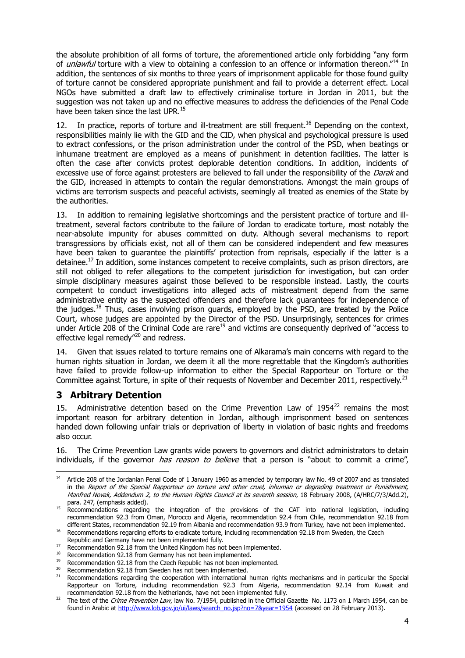the absolute prohibition of all forms of torture, the aforementioned article only forbidding "any form of *unlawful* torture with a view to obtaining a confession to an offence or information thereon."<sup>14</sup> In addition, the sentences of six months to three years of imprisonment applicable for those found guilty of torture cannot be considered appropriate punishment and fail to provide a deterrent effect. Local NGOs have submitted a draft law to effectively criminalise torture in Jordan in 2011, but the suggestion was not taken up and no effective measures to address the deficiencies of the Penal Code have been taken since the last UPR.<sup>15</sup>

12. In practice, reports of torture and ill-treatment are still frequent.<sup>16</sup> Depending on the context, responsibilities mainly lie with the GID and the CID, when physical and psychological pressure is used to extract confessions, or the prison administration under the control of the PSD, when beatings or inhumane treatment are employed as a means of punishment in detention facilities. The latter is often the case after convicts protest deplorable detention conditions. In addition, incidents of excessive use of force against protesters are believed to fall under the responsibility of the *Darak* and the GID, increased in attempts to contain the regular demonstrations. Amongst the main groups of victims are terrorism suspects and peaceful activists, seemingly all treated as enemies of the State by the authorities.

13. In addition to remaining legislative shortcomings and the persistent practice of torture and illtreatment, several factors contribute to the failure of Jordan to eradicate torture, most notably the near-absolute impunity for abuses committed on duty. Although several mechanisms to report transgressions by officials exist, not all of them can be considered independent and few measures have been taken to guarantee the plaintiffs' protection from reprisals, especially if the latter is a detainee.<sup>17</sup> In addition, some instances competent to receive complaints, such as prison directors, are still not obliged to refer allegations to the competent jurisdiction for investigation, but can order simple disciplinary measures against those believed to be responsible instead. Lastly, the courts competent to conduct investigations into alleged acts of mistreatment depend from the same administrative entity as the suspected offenders and therefore lack guarantees for independence of the judges.<sup>18</sup> Thus, cases involving prison guards, employed by the PSD, are treated by the Police Court, whose judges are appointed by the Director of the PSD. Unsurprisingly, sentences for crimes under Article 208 of the Criminal Code are rare<sup>19</sup> and victims are consequently deprived of "access to effective legal remedy"<sup>20</sup> and redress.

14. Given that issues related to torture remains one of Alkarama's main concerns with regard to the human rights situation in Jordan, we deem it all the more regrettable that the Kingdom's authorities have failed to provide follow-up information to either the Special Rapporteur on Torture or the Committee against Torture, in spite of their requests of November and December 2011, respectively.<sup>21</sup>

## **3 Arbitrary Detention**

15. Administrative detention based on the Crime Prevention Law of  $1954^{22}$  remains the most important reason for arbitrary detention in Jordan, although imprisonment based on sentences handed down following unfair trials or deprivation of liberty in violation of basic rights and freedoms also occur.

16. The Crime Prevention Law grants wide powers to governors and district administrators to detain individuals, if the governor *has reason to believe* that a person is "about to commit a crime",

<sup>1</sup> <sup>14</sup> Article 208 of the Jordanian Penal Code of 1 January 1960 as amended by temporary law No. 49 of 2007 and as translated in the Report of the Special Rapporteur on torture and other cruel, inhuman or degrading treatment or Punishment, Manfred Novak, Addendum 2, to the Human Rights Council at its seventh session, 18 February 2008, (A/HRC/7/3/Add.2), para. 247, (emphasis added).

<sup>&</sup>lt;sup>15</sup> Recommendations regarding the integration of the provisions of the CAT into national legislation, including recommendation 92.3 from Oman, Morocco and Algeria, recommendation 92.4 from Chile, recommendation 92.18 from different States, recommendation 92.19 from Albania and recommendation 93.9 from Turkey, have not been implemented.

<sup>16</sup> Recommendations regarding efforts to eradicate torture, including recommendation 92.18 from Sweden, the Czech

Republic and Germany have not been implemented fully.

<sup>17</sup> Recommendation 92.18 from the United Kingdom has not been implemented.<br><sup>17</sup> Recommendation 92.18 from Cormany has not been implemented.

<sup>&</sup>lt;sup>18</sup> Recommendation 92.18 from Germany has not been implemented.<br><sup>19</sup> Recommendation 02.18 from the Czech Benublic has not been implemented.

<sup>&</sup>lt;sup>19</sup> Recommendation 92.18 from the Czech Republic has not been implemented.<br><sup>20</sup> Recommendation 92.18 from Sweden has not been implemented.

Recommendation 92.18 from Sweden has not been implemented.

<sup>&</sup>lt;sup>21</sup> Recommendations regarding the cooperation with international human rights mechanisms and in particular the Special Rapporteur on Torture, including recommendation 92.3 from Algeria, recommendation 92.14 from Kuwait and recommendation 92.18 from the Netherlands, have not been implemented fully.

<sup>&</sup>lt;sup>22</sup> The text of the *Crime Prevention Law*, law No. 7/1954, published in the Official Gazette No. 1173 on 1 March 1954, can be found in Arabic at [http://www.lob.gov.jo/ui/laws/search\\_no.jsp?no=7&year=1954](http://www.lob.gov.jo/ui/laws/search_no.jsp?no=7&year=1954) (accessed on 28 February 2013).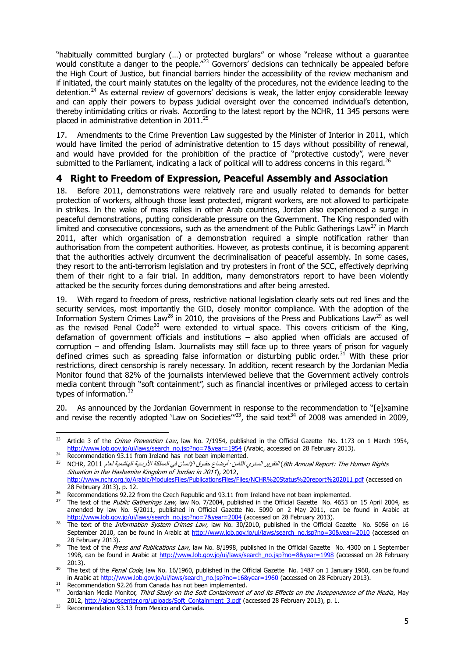"habitually committed burglary (…) or protected burglars" or whose "release without a guarantee would constitute a danger to the people."<sup>23</sup> Governors' decisions can technically be appealed before the High Court of Justice, but financial barriers hinder the accessibility of the review mechanism and if initiated, the court mainly statutes on the legality of the procedures, not the evidence leading to the detention.<sup>24</sup> As external review of governors' decisions is weak, the latter enjoy considerable leeway and can apply their powers to bypass judicial oversight over the concerned individual's detention, thereby intimidating critics or rivals. According to the latest report by the NCHR, 11 345 persons were placed in administrative detention in 2011.<sup>25</sup>

17. Amendments to the Crime Prevention Law suggested by the Minister of Interior in 2011, which would have limited the period of administrative detention to 15 days without possibility of renewal, and would have provided for the prohibition of the practice of "protective custody", were never submitted to the Parliament, indicating a lack of political will to address concerns in this regard.<sup>26</sup>

# **4 Right to Freedom of Expression, Peaceful Assembly and Association**

<span id="page-3-0"></span>Before 2011, demonstrations were relatively rare and usually related to demands for better protection of workers, although those least protected, migrant workers, are not allowed to participate in strikes. In the wake of mass rallies in other Arab countries, Jordan also experienced a surge in peaceful demonstrations, putting considerable pressure on the Government. The King responded with limited and consecutive concessions, such as the amendment of the Public Gatherings Law<sup>27</sup> in March 2011, after which organisation of a demonstration required a simple notification rather than authorisation from the competent authorities. However, as protests continue, it is becoming apparent that the authorities actively circumvent the decriminalisation of peaceful assembly. In some cases, they resort to the anti-terrorism legislation and try protesters in front of the SCC, effectively depriving them of their right to a fair trial. In addition, many demonstrators report to have been violently attacked be the security forces during demonstrations and after being arrested.

19. With regard to freedom of press, restrictive national legislation clearly sets out red lines and the security services, most importantly the GID, closely monitor compliance. With the adoption of the Information System Crimes Law<sup>28</sup> in 2010, the provisions of the Press and Publications Law<sup>29</sup> as well as the revised Penal Code<sup>30</sup> were extended to virtual space. This covers criticism of the King, defamation of government officials and institutions – also applied when officials are accused of corruption – and offending Islam. Journalists may still face up to three years of prison for vaguely defined crimes such as spreading false information or disturbing public order.<sup>31</sup> With these prior restrictions, direct censorship is rarely necessary. In addition, recent research by the Jordanian Media Monitor found that 82% of the journalists interviewed believe that the Government actively controls media content through "soft containment", such as financial incentives or privileged access to certain types of information.<sup>32</sup>

20. As announced by the Jordanian Government in response to the recommendation to "[e]xamine and revise the recently adopted 'Law on Societies'<sup>133</sup>, the said text<sup>34</sup> of 2008 was amended in 2009,

 $23$ Article 3 of the Crime Prevention Law, law No. 7/1954, published in the Official Gazette No. 1173 on 1 March 1954, [http://www.lob.gov.jo/ui/laws/search\\_no.jsp?no=7&year=1954](http://www.lob.gov.jo/ui/laws/search_no.jsp?no=7&year=1954) (Arabic, accessed on 28 February 2013).

<sup>&</sup>lt;sup>24</sup> Recommendation 93.11 from Ireland has not been implemented.

Rights Human The :Report Annual th8 (التقرير السنوي الثامن*:* أوضاع حقـوق اإلنسان في المملكة األردنية الهاشمية لعام 1122 ,NCHR <sup>25</sup> Situation in the Hashemite Kingdom of Jordan in 2011), 2012, <http://www.nchr.org.jo/Arabic/ModulesFiles/PublicationsFiles/Files/NCHR%20Status%20report%202011.pdf> (accessed on 28 February 2013), p. 12.

<sup>&</sup>lt;sup>26</sup> Recommendations 92.22 from the Czech Republic and 93.11 from Ireland have not been implemented.

<sup>&</sup>lt;sup>27</sup> The text of the *Public Gatherings Law*, law No. 7/2004, published in the Official Gazette No. 4653 on 15 April 2004, as amended by law No. 5/2011, published in Official Gazette No. 5090 on 2 May 2011, can be found in Arabic at [http://www.lob.gov.jo/ui/laws/search\\_no.jsp?no=7&year=2004](http://www.lob.gov.jo/ui/laws/search_no.jsp?no=7&year=2004) (accessed on 28 February 2013).

<sup>&</sup>lt;sup>28</sup> The text of the *Information System Crimes Law*, law No. 30/2010, published in the Official Gazette No. 5056 on 16 September 2010, can be found in Arabic at [http://www.lob.gov.jo/ui/laws/search\\_no.jsp?no=30&year=2010](http://www.lob.gov.jo/ui/laws/search_no.jsp?no=30&year=2010) (accessed on 28 February 2013).

<sup>&</sup>lt;sup>29</sup> The text of the *Press and Publications Law*, law No. 8/1998, published in the Official Gazette No. 4300 on 1 September 1998, can be found in Arabic at [http://www.lob.gov.jo/ui/laws/search\\_no.jsp?no=8&year=1998](http://www.lob.gov.jo/ui/laws/search_no.jsp?no=8&year=1998) (accessed on 28 February 2013).

<sup>&</sup>lt;sup>30</sup> The text of the *Penal Code*, law No. 16/1960, published in the Official Gazette No. 1487 on 1 January 1960, can be found in Arabic a[t http://www.lob.gov.jo/ui/laws/search\\_no.jsp?no=16&year=1960](http://www.lob.gov.jo/ui/laws/search_no.jsp?no=16&year=1960) (accessed on 28 February 2013).

<sup>&</sup>lt;sup>31</sup> Recommendation 92.26 from Canada has not been implemented.

Jordanian Media Monitor, Third Study on the Soft Containment of and its Effects on the Independence of the Media, May 2012[, http://alqudscenter.org/uploads/Soft\\_Containment\\_3.pdf](http://alqudscenter.org/uploads/Soft_Containment_3.pdf) (accessed 28 February 2013), p. 1.

<sup>&</sup>lt;sup>33</sup> Recommendation 93.13 from Mexico and Canada.